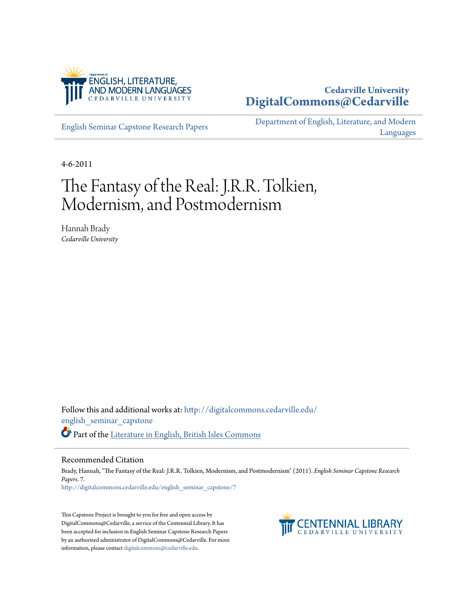

### **Cedarville University [DigitalCommons@Cedarville](http://digitalcommons.cedarville.edu?utm_source=digitalcommons.cedarville.edu%2Fenglish_seminar_capstone%2F7&utm_medium=PDF&utm_campaign=PDFCoverPages)**

[English Seminar Capstone Research Papers](http://digitalcommons.cedarville.edu/english_seminar_capstone?utm_source=digitalcommons.cedarville.edu%2Fenglish_seminar_capstone%2F7&utm_medium=PDF&utm_campaign=PDFCoverPages)

[Department of English, Literature, and Modern](http://digitalcommons.cedarville.edu/english_literature_modern_languages?utm_source=digitalcommons.cedarville.edu%2Fenglish_seminar_capstone%2F7&utm_medium=PDF&utm_campaign=PDFCoverPages) [Languages](http://digitalcommons.cedarville.edu/english_literature_modern_languages?utm_source=digitalcommons.cedarville.edu%2Fenglish_seminar_capstone%2F7&utm_medium=PDF&utm_campaign=PDFCoverPages)

4-6-2011

# The Fantasy of the Real: J.R.R. Tolkien, Modernism, and Postmodernism

Hannah Brady *Cedarville University*

Follow this and additional works at: [http://digitalcommons.cedarville.edu/](http://digitalcommons.cedarville.edu/english_seminar_capstone?utm_source=digitalcommons.cedarville.edu%2Fenglish_seminar_capstone%2F7&utm_medium=PDF&utm_campaign=PDFCoverPages) [english\\_seminar\\_capstone](http://digitalcommons.cedarville.edu/english_seminar_capstone?utm_source=digitalcommons.cedarville.edu%2Fenglish_seminar_capstone%2F7&utm_medium=PDF&utm_campaign=PDFCoverPages) Part of the [Literature in English, British Isles Commons](http://network.bepress.com/hgg/discipline/456?utm_source=digitalcommons.cedarville.edu%2Fenglish_seminar_capstone%2F7&utm_medium=PDF&utm_campaign=PDFCoverPages)

#### Recommended Citation

Brady, Hannah, "The Fantasy of the Real: J.R.R. Tolkien, Modernism, and Postmodernism" (2011). *English Seminar Capstone Research Papers*. 7. [http://digitalcommons.cedarville.edu/english\\_seminar\\_capstone/7](http://digitalcommons.cedarville.edu/english_seminar_capstone/7?utm_source=digitalcommons.cedarville.edu%2Fenglish_seminar_capstone%2F7&utm_medium=PDF&utm_campaign=PDFCoverPages)

This Capstone Project is brought to you for free and open access by DigitalCommons@Cedarville, a service of the Centennial Library. It has been accepted for inclusion in English Seminar Capstone Research Papers by an authorized administrator of DigitalCommons@Cedarville. For more information, please contact [digitalcommons@cedarville.edu.](mailto:digitalcommons@cedarville.edu)

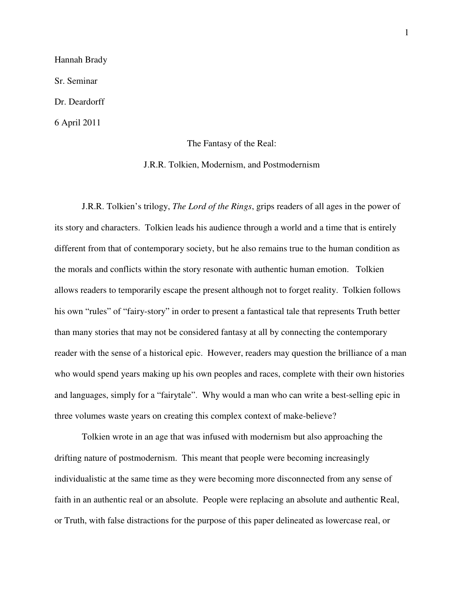Hannah Brady Sr. Seminar Dr. Deardorff 6 April 2011

The Fantasy of the Real:

J.R.R. Tolkien, Modernism, and Postmodernism

 J.R.R. Tolkien's trilogy, *The Lord of the Rings*, grips readers of all ages in the power of its story and characters. Tolkien leads his audience through a world and a time that is entirely different from that of contemporary society, but he also remains true to the human condition as the morals and conflicts within the story resonate with authentic human emotion. Tolkien allows readers to temporarily escape the present although not to forget reality. Tolkien follows his own "rules" of "fairy-story" in order to present a fantastical tale that represents Truth better than many stories that may not be considered fantasy at all by connecting the contemporary reader with the sense of a historical epic. However, readers may question the brilliance of a man who would spend years making up his own peoples and races, complete with their own histories and languages, simply for a "fairytale". Why would a man who can write a best-selling epic in three volumes waste years on creating this complex context of make-believe?

 Tolkien wrote in an age that was infused with modernism but also approaching the drifting nature of postmodernism. This meant that people were becoming increasingly individualistic at the same time as they were becoming more disconnected from any sense of faith in an authentic real or an absolute. People were replacing an absolute and authentic Real, or Truth, with false distractions for the purpose of this paper delineated as lowercase real, or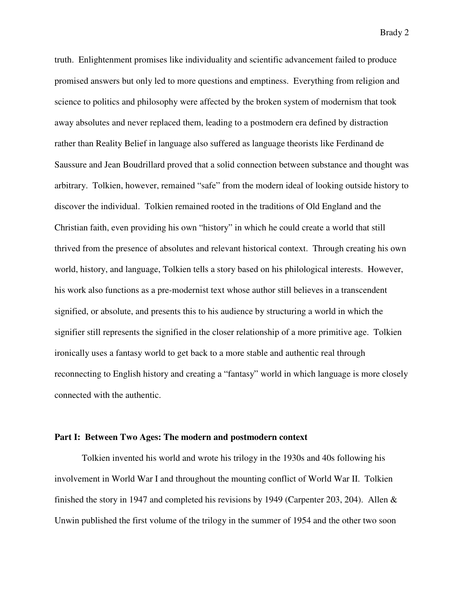truth. Enlightenment promises like individuality and scientific advancement failed to produce promised answers but only led to more questions and emptiness. Everything from religion and science to politics and philosophy were affected by the broken system of modernism that took away absolutes and never replaced them, leading to a postmodern era defined by distraction rather than Reality Belief in language also suffered as language theorists like Ferdinand de Saussure and Jean Boudrillard proved that a solid connection between substance and thought was arbitrary. Tolkien, however, remained "safe" from the modern ideal of looking outside history to discover the individual. Tolkien remained rooted in the traditions of Old England and the Christian faith, even providing his own "history" in which he could create a world that still thrived from the presence of absolutes and relevant historical context. Through creating his own world, history, and language, Tolkien tells a story based on his philological interests. However, his work also functions as a pre-modernist text whose author still believes in a transcendent signified, or absolute, and presents this to his audience by structuring a world in which the signifier still represents the signified in the closer relationship of a more primitive age. Tolkien ironically uses a fantasy world to get back to a more stable and authentic real through reconnecting to English history and creating a "fantasy" world in which language is more closely connected with the authentic.

#### **Part I: Between Two Ages: The modern and postmodern context**

 Tolkien invented his world and wrote his trilogy in the 1930s and 40s following his involvement in World War I and throughout the mounting conflict of World War II. Tolkien finished the story in 1947 and completed his revisions by 1949 (Carpenter 203, 204). Allen & Unwin published the first volume of the trilogy in the summer of 1954 and the other two soon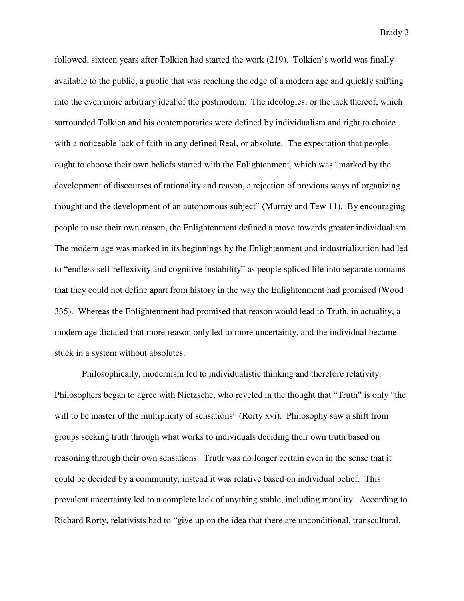followed, sixteen years after Tolkien had started the work (219). Tolkien's world was finally available to the public, a public that was reaching the edge of a modern age and quickly shifting into the even more arbitrary ideal of the postmodern. The ideologies, or the lack thereof, which surrounded Tolkien and his contemporaries were defined by individualism and right to choice with a noticeable lack of faith in any defined Real, or absolute. The expectation that people ought to choose their own beliefs started with the Enlightenment, which was "marked by the development of discourses of rationality and reason, a rejection of previous ways of organizing thought and the development of an autonomous subject" (Murray and Tew 11). By encouraging people to use their own reason, the Enlightenment defined a move towards greater individualism. The modern age was marked in its beginnings by the Enlightenment and industrialization had led to "endless self-reflexivity and cognitive instability" as people spliced life into separate domains that they could not define apart from history in the way the Enlightenment had promised (Wood 335). Whereas the Enlightenment had promised that reason would lead to Truth, in actuality, a modern age dictated that more reason only led to more uncertainty, and the individual became stuck in a system without absolutes.

 Philosophically, modernism led to individualistic thinking and therefore relativity. Philosophers began to agree with Nietzsche, who reveled in the thought that "Truth" is only "the will to be master of the multiplicity of sensations" (Rorty xvi). Philosophy saw a shift from groups seeking truth through what works to individuals deciding their own truth based on reasoning through their own sensations. Truth was no longer certain even in the sense that it could be decided by a community; instead it was relative based on individual belief. This prevalent uncertainty led to a complete lack of anything stable, including morality. According to Richard Rorty, relativists had to "give up on the idea that there are unconditional, transcultural,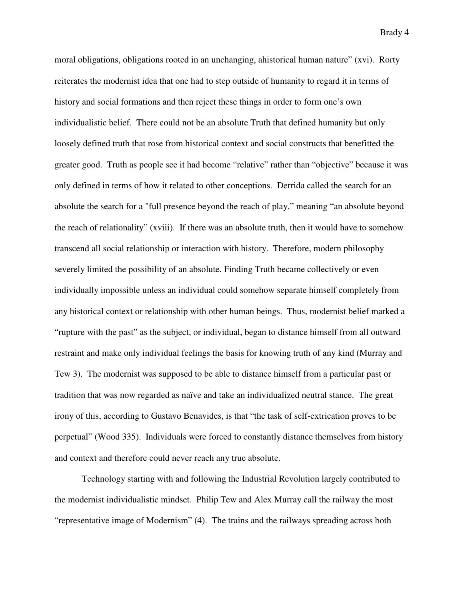moral obligations, obligations rooted in an unchanging, ahistorical human nature" (xvi). Rorty reiterates the modernist idea that one had to step outside of humanity to regard it in terms of history and social formations and then reject these things in order to form one's own individualistic belief. There could not be an absolute Truth that defined humanity but only loosely defined truth that rose from historical context and social constructs that benefitted the greater good. Truth as people see it had become "relative" rather than "objective" because it was only defined in terms of how it related to other conceptions. Derrida called the search for an absolute the search for a "full presence beyond the reach of play," meaning "an absolute beyond the reach of relationality" (xviii). If there was an absolute truth, then it would have to somehow transcend all social relationship or interaction with history. Therefore, modern philosophy severely limited the possibility of an absolute. Finding Truth became collectively or even individually impossible unless an individual could somehow separate himself completely from any historical context or relationship with other human beings. Thus, modernist belief marked a "rupture with the past" as the subject, or individual, began to distance himself from all outward restraint and make only individual feelings the basis for knowing truth of any kind (Murray and Tew 3). The modernist was supposed to be able to distance himself from a particular past or tradition that was now regarded as naïve and take an individualized neutral stance. The great irony of this, according to Gustavo Benavides, is that "the task of self-extrication proves to be perpetual" (Wood 335). Individuals were forced to constantly distance themselves from history and context and therefore could never reach any true absolute.

 Technology starting with and following the Industrial Revolution largely contributed to the modernist individualistic mindset. Philip Tew and Alex Murray call the railway the most "representative image of Modernism" (4). The trains and the railways spreading across both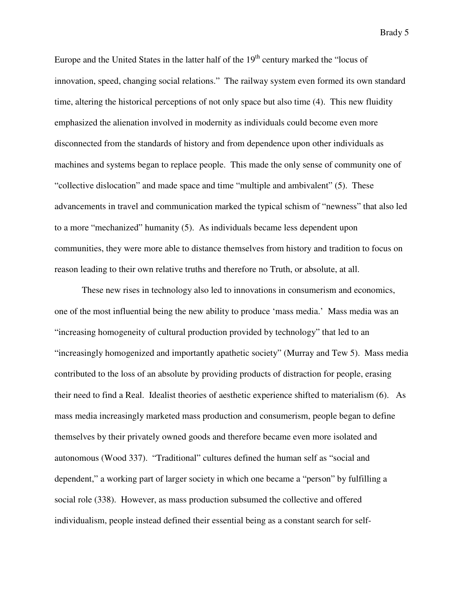Europe and the United States in the latter half of the  $19<sup>th</sup>$  century marked the "locus of innovation, speed, changing social relations." The railway system even formed its own standard time, altering the historical perceptions of not only space but also time (4). This new fluidity emphasized the alienation involved in modernity as individuals could become even more disconnected from the standards of history and from dependence upon other individuals as machines and systems began to replace people. This made the only sense of community one of "collective dislocation" and made space and time "multiple and ambivalent" (5). These advancements in travel and communication marked the typical schism of "newness" that also led to a more "mechanized" humanity (5). As individuals became less dependent upon communities, they were more able to distance themselves from history and tradition to focus on reason leading to their own relative truths and therefore no Truth, or absolute, at all.

 These new rises in technology also led to innovations in consumerism and economics, one of the most influential being the new ability to produce 'mass media.' Mass media was an "increasing homogeneity of cultural production provided by technology" that led to an "increasingly homogenized and importantly apathetic society" (Murray and Tew 5). Mass media contributed to the loss of an absolute by providing products of distraction for people, erasing their need to find a Real. Idealist theories of aesthetic experience shifted to materialism (6). As mass media increasingly marketed mass production and consumerism, people began to define themselves by their privately owned goods and therefore became even more isolated and autonomous (Wood 337). "Traditional" cultures defined the human self as "social and dependent," a working part of larger society in which one became a "person" by fulfilling a social role (338). However, as mass production subsumed the collective and offered individualism, people instead defined their essential being as a constant search for self-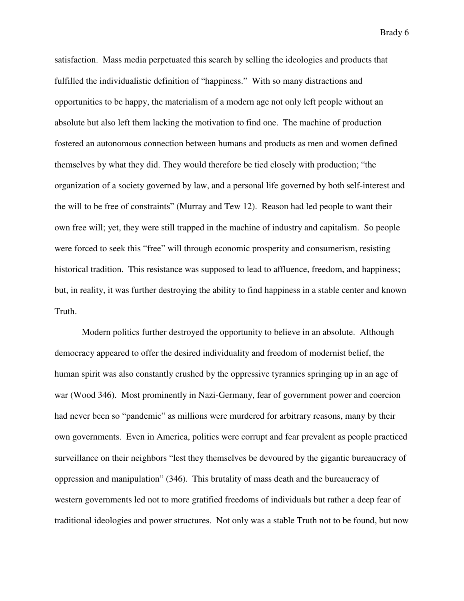satisfaction. Mass media perpetuated this search by selling the ideologies and products that fulfilled the individualistic definition of "happiness." With so many distractions and opportunities to be happy, the materialism of a modern age not only left people without an absolute but also left them lacking the motivation to find one. The machine of production fostered an autonomous connection between humans and products as men and women defined themselves by what they did. They would therefore be tied closely with production; "the organization of a society governed by law, and a personal life governed by both self-interest and the will to be free of constraints" (Murray and Tew 12). Reason had led people to want their own free will; yet, they were still trapped in the machine of industry and capitalism. So people were forced to seek this "free" will through economic prosperity and consumerism, resisting historical tradition. This resistance was supposed to lead to affluence, freedom, and happiness; but, in reality, it was further destroying the ability to find happiness in a stable center and known Truth.

 Modern politics further destroyed the opportunity to believe in an absolute. Although democracy appeared to offer the desired individuality and freedom of modernist belief, the human spirit was also constantly crushed by the oppressive tyrannies springing up in an age of war (Wood 346). Most prominently in Nazi-Germany, fear of government power and coercion had never been so "pandemic" as millions were murdered for arbitrary reasons, many by their own governments. Even in America, politics were corrupt and fear prevalent as people practiced surveillance on their neighbors "lest they themselves be devoured by the gigantic bureaucracy of oppression and manipulation" (346). This brutality of mass death and the bureaucracy of western governments led not to more gratified freedoms of individuals but rather a deep fear of traditional ideologies and power structures. Not only was a stable Truth not to be found, but now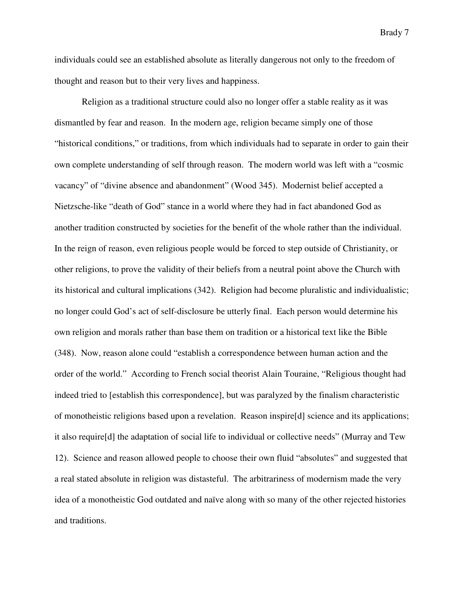individuals could see an established absolute as literally dangerous not only to the freedom of thought and reason but to their very lives and happiness.

 Religion as a traditional structure could also no longer offer a stable reality as it was dismantled by fear and reason. In the modern age, religion became simply one of those "historical conditions," or traditions, from which individuals had to separate in order to gain their own complete understanding of self through reason. The modern world was left with a "cosmic vacancy" of "divine absence and abandonment" (Wood 345). Modernist belief accepted a Nietzsche-like "death of God" stance in a world where they had in fact abandoned God as another tradition constructed by societies for the benefit of the whole rather than the individual. In the reign of reason, even religious people would be forced to step outside of Christianity, or other religions, to prove the validity of their beliefs from a neutral point above the Church with its historical and cultural implications (342). Religion had become pluralistic and individualistic; no longer could God's act of self-disclosure be utterly final. Each person would determine his own religion and morals rather than base them on tradition or a historical text like the Bible (348). Now, reason alone could "establish a correspondence between human action and the order of the world." According to French social theorist Alain Touraine, "Religious thought had indeed tried to [establish this correspondence], but was paralyzed by the finalism characteristic of monotheistic religions based upon a revelation. Reason inspire[d] science and its applications; it also require[d] the adaptation of social life to individual or collective needs" (Murray and Tew 12). Science and reason allowed people to choose their own fluid "absolutes" and suggested that a real stated absolute in religion was distasteful. The arbitrariness of modernism made the very idea of a monotheistic God outdated and naïve along with so many of the other rejected histories and traditions.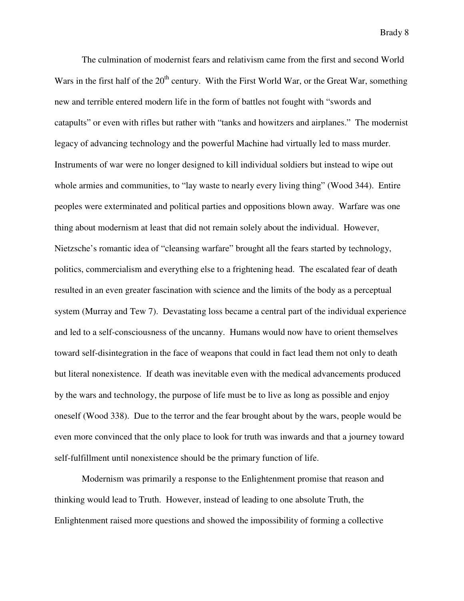The culmination of modernist fears and relativism came from the first and second World Wars in the first half of the  $20<sup>th</sup>$  century. With the First World War, or the Great War, something new and terrible entered modern life in the form of battles not fought with "swords and catapults" or even with rifles but rather with "tanks and howitzers and airplanes." The modernist legacy of advancing technology and the powerful Machine had virtually led to mass murder. Instruments of war were no longer designed to kill individual soldiers but instead to wipe out whole armies and communities, to "lay waste to nearly every living thing" (Wood 344). Entire peoples were exterminated and political parties and oppositions blown away. Warfare was one thing about modernism at least that did not remain solely about the individual. However, Nietzsche's romantic idea of "cleansing warfare" brought all the fears started by technology, politics, commercialism and everything else to a frightening head. The escalated fear of death resulted in an even greater fascination with science and the limits of the body as a perceptual system (Murray and Tew 7). Devastating loss became a central part of the individual experience and led to a self-consciousness of the uncanny. Humans would now have to orient themselves toward self-disintegration in the face of weapons that could in fact lead them not only to death but literal nonexistence. If death was inevitable even with the medical advancements produced by the wars and technology, the purpose of life must be to live as long as possible and enjoy oneself (Wood 338). Due to the terror and the fear brought about by the wars, people would be even more convinced that the only place to look for truth was inwards and that a journey toward self-fulfillment until nonexistence should be the primary function of life.

 Modernism was primarily a response to the Enlightenment promise that reason and thinking would lead to Truth. However, instead of leading to one absolute Truth, the Enlightenment raised more questions and showed the impossibility of forming a collective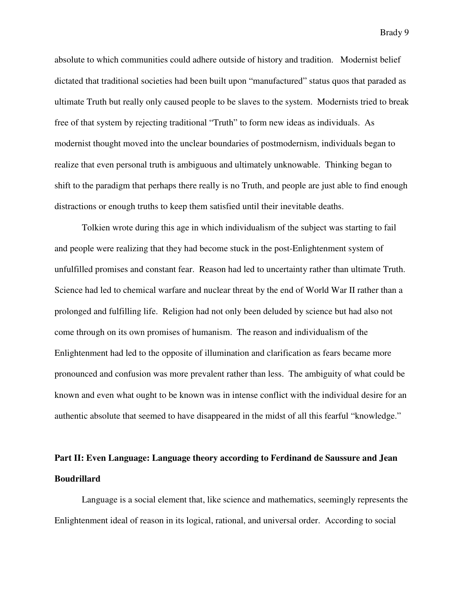absolute to which communities could adhere outside of history and tradition. Modernist belief dictated that traditional societies had been built upon "manufactured" status quos that paraded as ultimate Truth but really only caused people to be slaves to the system. Modernists tried to break free of that system by rejecting traditional "Truth" to form new ideas as individuals. As modernist thought moved into the unclear boundaries of postmodernism, individuals began to realize that even personal truth is ambiguous and ultimately unknowable. Thinking began to shift to the paradigm that perhaps there really is no Truth, and people are just able to find enough distractions or enough truths to keep them satisfied until their inevitable deaths.

 Tolkien wrote during this age in which individualism of the subject was starting to fail and people were realizing that they had become stuck in the post-Enlightenment system of unfulfilled promises and constant fear. Reason had led to uncertainty rather than ultimate Truth. Science had led to chemical warfare and nuclear threat by the end of World War II rather than a prolonged and fulfilling life. Religion had not only been deluded by science but had also not come through on its own promises of humanism. The reason and individualism of the Enlightenment had led to the opposite of illumination and clarification as fears became more pronounced and confusion was more prevalent rather than less. The ambiguity of what could be known and even what ought to be known was in intense conflict with the individual desire for an authentic absolute that seemed to have disappeared in the midst of all this fearful "knowledge."

## **Part II: Even Language: Language theory according to Ferdinand de Saussure and Jean Boudrillard**

 Language is a social element that, like science and mathematics, seemingly represents the Enlightenment ideal of reason in its logical, rational, and universal order. According to social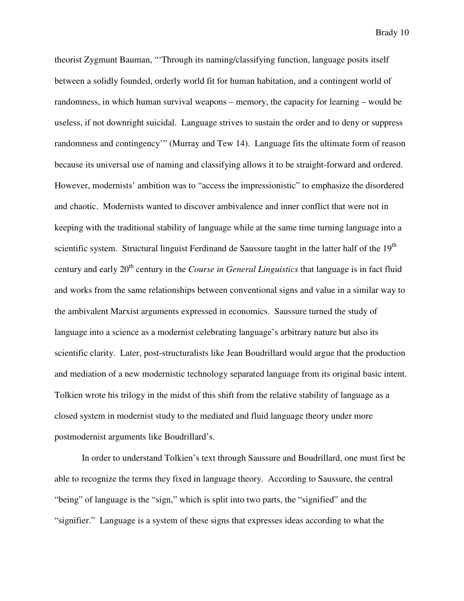theorist Zygmunt Bauman, "'Through its naming/classifying function, language posits itself between a solidly founded, orderly world fit for human habitation, and a contingent world of randomness, in which human survival weapons – memory, the capacity for learning – would be useless, if not downright suicidal. Language strives to sustain the order and to deny or suppress randomness and contingency'" (Murray and Tew 14). Language fits the ultimate form of reason because its universal use of naming and classifying allows it to be straight-forward and ordered. However, modernists' ambition was to "access the impressionistic" to emphasize the disordered and chaotic. Modernists wanted to discover ambivalence and inner conflict that were not in keeping with the traditional stability of language while at the same time turning language into a scientific system. Structural linguist Ferdinand de Saussure taught in the latter half of the 19<sup>th</sup> century and early 20<sup>th</sup> century in the *Course in General Linguistics* that language is in fact fluid and works from the same relationships between conventional signs and value in a similar way to the ambivalent Marxist arguments expressed in economics. Saussure turned the study of language into a science as a modernist celebrating language's arbitrary nature but also its scientific clarity. Later, post-structuralists like Jean Boudrillard would argue that the production and mediation of a new modernistic technology separated language from its original basic intent. Tolkien wrote his trilogy in the midst of this shift from the relative stability of language as a closed system in modernist study to the mediated and fluid language theory under more postmodernist arguments like Boudrillard's.

 In order to understand Tolkien's text through Saussure and Boudrillard, one must first be able to recognize the terms they fixed in language theory. According to Saussure, the central "being" of language is the "sign," which is split into two parts, the "signified" and the "signifier." Language is a system of these signs that expresses ideas according to what the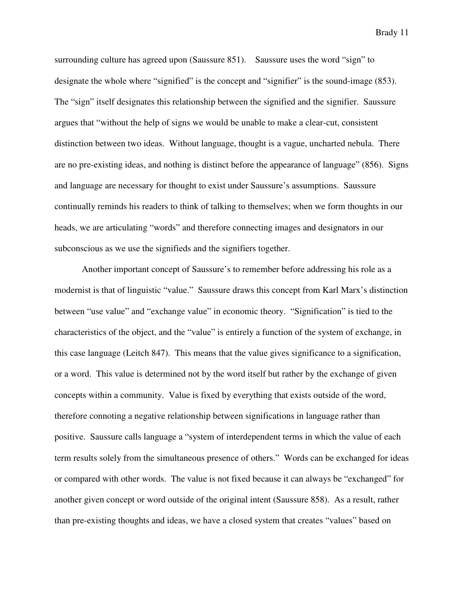surrounding culture has agreed upon (Saussure 851). Saussure uses the word "sign" to designate the whole where "signified" is the concept and "signifier" is the sound-image (853). The "sign" itself designates this relationship between the signified and the signifier. Saussure argues that "without the help of signs we would be unable to make a clear-cut, consistent distinction between two ideas. Without language, thought is a vague, uncharted nebula. There are no pre-existing ideas, and nothing is distinct before the appearance of language" (856). Signs and language are necessary for thought to exist under Saussure's assumptions. Saussure continually reminds his readers to think of talking to themselves; when we form thoughts in our heads, we are articulating "words" and therefore connecting images and designators in our subconscious as we use the signifieds and the signifiers together.

 Another important concept of Saussure's to remember before addressing his role as a modernist is that of linguistic "value." Saussure draws this concept from Karl Marx's distinction between "use value" and "exchange value" in economic theory. "Signification" is tied to the characteristics of the object, and the "value" is entirely a function of the system of exchange, in this case language (Leitch 847). This means that the value gives significance to a signification, or a word. This value is determined not by the word itself but rather by the exchange of given concepts within a community. Value is fixed by everything that exists outside of the word, therefore connoting a negative relationship between significations in language rather than positive. Saussure calls language a "system of interdependent terms in which the value of each term results solely from the simultaneous presence of others." Words can be exchanged for ideas or compared with other words. The value is not fixed because it can always be "exchanged" for another given concept or word outside of the original intent (Saussure 858). As a result, rather than pre-existing thoughts and ideas, we have a closed system that creates "values" based on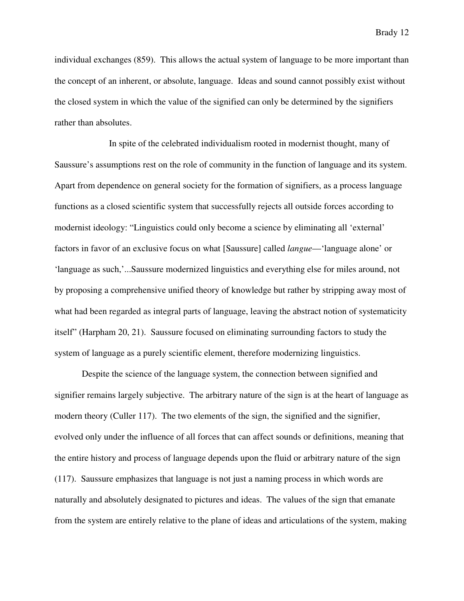individual exchanges (859). This allows the actual system of language to be more important than the concept of an inherent, or absolute, language. Ideas and sound cannot possibly exist without the closed system in which the value of the signified can only be determined by the signifiers rather than absolutes.

 In spite of the celebrated individualism rooted in modernist thought, many of Saussure's assumptions rest on the role of community in the function of language and its system. Apart from dependence on general society for the formation of signifiers, as a process language functions as a closed scientific system that successfully rejects all outside forces according to modernist ideology: "Linguistics could only become a science by eliminating all 'external' factors in favor of an exclusive focus on what [Saussure] called *langue*—'language alone' or 'language as such,'...Saussure modernized linguistics and everything else for miles around, not by proposing a comprehensive unified theory of knowledge but rather by stripping away most of what had been regarded as integral parts of language, leaving the abstract notion of systematicity itself" (Harpham 20, 21). Saussure focused on eliminating surrounding factors to study the system of language as a purely scientific element, therefore modernizing linguistics.

 Despite the science of the language system, the connection between signified and signifier remains largely subjective. The arbitrary nature of the sign is at the heart of language as modern theory (Culler 117). The two elements of the sign, the signified and the signifier, evolved only under the influence of all forces that can affect sounds or definitions, meaning that the entire history and process of language depends upon the fluid or arbitrary nature of the sign (117). Saussure emphasizes that language is not just a naming process in which words are naturally and absolutely designated to pictures and ideas. The values of the sign that emanate from the system are entirely relative to the plane of ideas and articulations of the system, making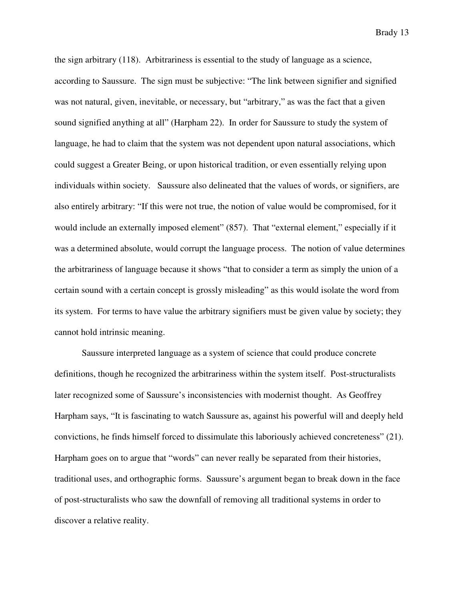the sign arbitrary (118). Arbitrariness is essential to the study of language as a science, according to Saussure. The sign must be subjective: "The link between signifier and signified was not natural, given, inevitable, or necessary, but "arbitrary," as was the fact that a given sound signified anything at all" (Harpham 22). In order for Saussure to study the system of language, he had to claim that the system was not dependent upon natural associations, which could suggest a Greater Being, or upon historical tradition, or even essentially relying upon individuals within society. Saussure also delineated that the values of words, or signifiers, are also entirely arbitrary: "If this were not true, the notion of value would be compromised, for it would include an externally imposed element" (857). That "external element," especially if it was a determined absolute, would corrupt the language process. The notion of value determines the arbitrariness of language because it shows "that to consider a term as simply the union of a certain sound with a certain concept is grossly misleading" as this would isolate the word from its system. For terms to have value the arbitrary signifiers must be given value by society; they cannot hold intrinsic meaning.

 Saussure interpreted language as a system of science that could produce concrete definitions, though he recognized the arbitrariness within the system itself. Post-structuralists later recognized some of Saussure's inconsistencies with modernist thought. As Geoffrey Harpham says, "It is fascinating to watch Saussure as, against his powerful will and deeply held convictions, he finds himself forced to dissimulate this laboriously achieved concreteness" (21). Harpham goes on to argue that "words" can never really be separated from their histories, traditional uses, and orthographic forms. Saussure's argument began to break down in the face of post-structuralists who saw the downfall of removing all traditional systems in order to discover a relative reality.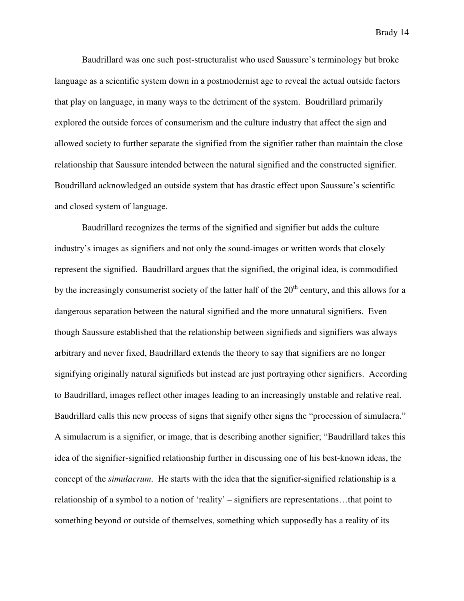Baudrillard was one such post-structuralist who used Saussure's terminology but broke language as a scientific system down in a postmodernist age to reveal the actual outside factors that play on language, in many ways to the detriment of the system. Boudrillard primarily explored the outside forces of consumerism and the culture industry that affect the sign and allowed society to further separate the signified from the signifier rather than maintain the close relationship that Saussure intended between the natural signified and the constructed signifier. Boudrillard acknowledged an outside system that has drastic effect upon Saussure's scientific and closed system of language.

 Baudrillard recognizes the terms of the signified and signifier but adds the culture industry's images as signifiers and not only the sound-images or written words that closely represent the signified. Baudrillard argues that the signified, the original idea, is commodified by the increasingly consumerist society of the latter half of the  $20<sup>th</sup>$  century, and this allows for a dangerous separation between the natural signified and the more unnatural signifiers. Even though Saussure established that the relationship between signifieds and signifiers was always arbitrary and never fixed, Baudrillard extends the theory to say that signifiers are no longer signifying originally natural signifieds but instead are just portraying other signifiers. According to Baudrillard, images reflect other images leading to an increasingly unstable and relative real. Baudrillard calls this new process of signs that signify other signs the "procession of simulacra." A simulacrum is a signifier, or image, that is describing another signifier; "Baudrillard takes this idea of the signifier-signified relationship further in discussing one of his best-known ideas, the concept of the *simulacrum*. He starts with the idea that the signifier-signified relationship is a relationship of a symbol to a notion of 'reality' – signifiers are representations…that point to something beyond or outside of themselves, something which supposedly has a reality of its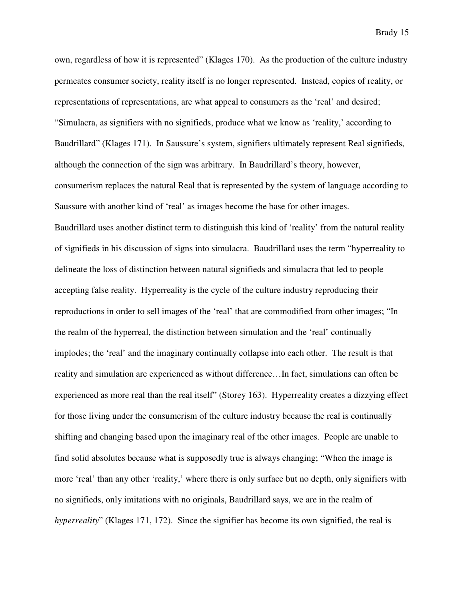own, regardless of how it is represented" (Klages 170). As the production of the culture industry permeates consumer society, reality itself is no longer represented. Instead, copies of reality, or representations of representations, are what appeal to consumers as the 'real' and desired; "Simulacra, as signifiers with no signifieds, produce what we know as 'reality,' according to Baudrillard" (Klages 171). In Saussure's system, signifiers ultimately represent Real signifieds, although the connection of the sign was arbitrary. In Baudrillard's theory, however, consumerism replaces the natural Real that is represented by the system of language according to Saussure with another kind of 'real' as images become the base for other images. Baudrillard uses another distinct term to distinguish this kind of 'reality' from the natural reality of signifieds in his discussion of signs into simulacra. Baudrillard uses the term "hyperreality to delineate the loss of distinction between natural signifieds and simulacra that led to people accepting false reality. Hyperreality is the cycle of the culture industry reproducing their reproductions in order to sell images of the 'real' that are commodified from other images; "In the realm of the hyperreal, the distinction between simulation and the 'real' continually implodes; the 'real' and the imaginary continually collapse into each other. The result is that reality and simulation are experienced as without difference…In fact, simulations can often be experienced as more real than the real itself" (Storey 163). Hyperreality creates a dizzying effect for those living under the consumerism of the culture industry because the real is continually shifting and changing based upon the imaginary real of the other images. People are unable to find solid absolutes because what is supposedly true is always changing; "When the image is more 'real' than any other 'reality,' where there is only surface but no depth, only signifiers with no signifieds, only imitations with no originals, Baudrillard says, we are in the realm of *hyperreality*" (Klages 171, 172). Since the signifier has become its own signified, the real is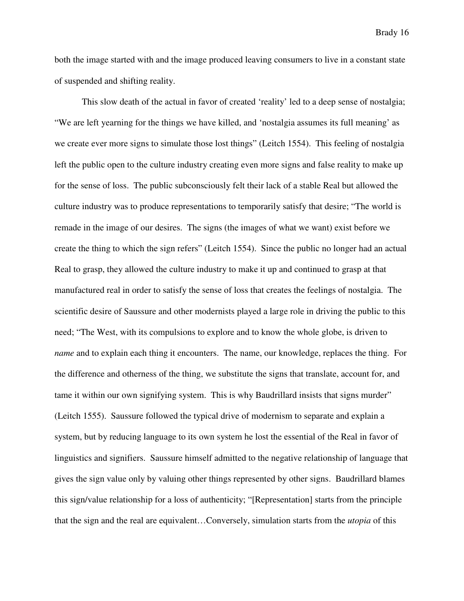both the image started with and the image produced leaving consumers to live in a constant state of suspended and shifting reality.

This slow death of the actual in favor of created 'reality' led to a deep sense of nostalgia; "We are left yearning for the things we have killed, and 'nostalgia assumes its full meaning' as we create ever more signs to simulate those lost things" (Leitch 1554). This feeling of nostalgia left the public open to the culture industry creating even more signs and false reality to make up for the sense of loss. The public subconsciously felt their lack of a stable Real but allowed the culture industry was to produce representations to temporarily satisfy that desire; "The world is remade in the image of our desires. The signs (the images of what we want) exist before we create the thing to which the sign refers" (Leitch 1554). Since the public no longer had an actual Real to grasp, they allowed the culture industry to make it up and continued to grasp at that manufactured real in order to satisfy the sense of loss that creates the feelings of nostalgia. The scientific desire of Saussure and other modernists played a large role in driving the public to this need; "The West, with its compulsions to explore and to know the whole globe, is driven to *name* and to explain each thing it encounters. The name, our knowledge, replaces the thing. For the difference and otherness of the thing, we substitute the signs that translate, account for, and tame it within our own signifying system. This is why Baudrillard insists that signs murder" (Leitch 1555). Saussure followed the typical drive of modernism to separate and explain a system, but by reducing language to its own system he lost the essential of the Real in favor of linguistics and signifiers. Saussure himself admitted to the negative relationship of language that gives the sign value only by valuing other things represented by other signs. Baudrillard blames this sign/value relationship for a loss of authenticity; "[Representation] starts from the principle that the sign and the real are equivalent…Conversely, simulation starts from the *utopia* of this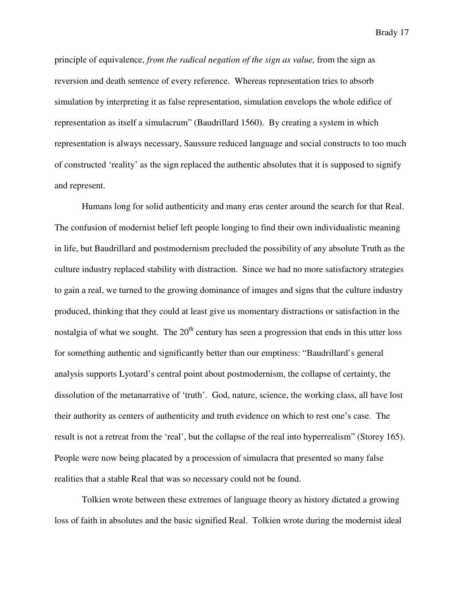principle of equivalence, *from the radical negation of the sign as value,* from the sign as reversion and death sentence of every reference. Whereas representation tries to absorb simulation by interpreting it as false representation, simulation envelops the whole edifice of representation as itself a simulacrum" (Baudrillard 1560). By creating a system in which representation is always necessary, Saussure reduced language and social constructs to too much of constructed 'reality' as the sign replaced the authentic absolutes that it is supposed to signify and represent.

Humans long for solid authenticity and many eras center around the search for that Real. The confusion of modernist belief left people longing to find their own individualistic meaning in life, but Baudrillard and postmodernism precluded the possibility of any absolute Truth as the culture industry replaced stability with distraction. Since we had no more satisfactory strategies to gain a real, we turned to the growing dominance of images and signs that the culture industry produced, thinking that they could at least give us momentary distractions or satisfaction in the nostalgia of what we sought. The  $20<sup>th</sup>$  century has seen a progression that ends in this utter loss for something authentic and significantly better than our emptiness: "Baudrillard's general analysis supports Lyotard's central point about postmodernism, the collapse of certainty, the dissolution of the metanarrative of 'truth'. God, nature, science, the working class, all have lost their authority as centers of authenticity and truth evidence on which to rest one's case. The result is not a retreat from the 'real', but the collapse of the real into hyperrealism" (Storey 165). People were now being placated by a procession of simulacra that presented so many false realities that a stable Real that was so necessary could not be found.

Tolkien wrote between these extremes of language theory as history dictated a growing loss of faith in absolutes and the basic signified Real. Tolkien wrote during the modernist ideal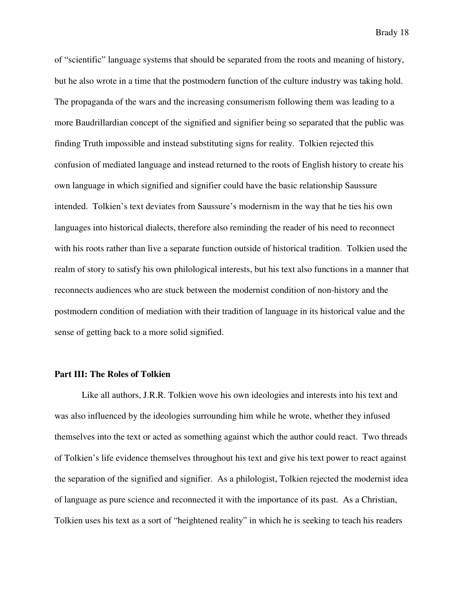of "scientific" language systems that should be separated from the roots and meaning of history, but he also wrote in a time that the postmodern function of the culture industry was taking hold. The propaganda of the wars and the increasing consumerism following them was leading to a more Baudrillardian concept of the signified and signifier being so separated that the public was finding Truth impossible and instead substituting signs for reality. Tolkien rejected this confusion of mediated language and instead returned to the roots of English history to create his own language in which signified and signifier could have the basic relationship Saussure intended. Tolkien's text deviates from Saussure's modernism in the way that he ties his own languages into historical dialects, therefore also reminding the reader of his need to reconnect with his roots rather than live a separate function outside of historical tradition. Tolkien used the realm of story to satisfy his own philological interests, but his text also functions in a manner that reconnects audiences who are stuck between the modernist condition of non-history and the postmodern condition of mediation with their tradition of language in its historical value and the sense of getting back to a more solid signified.

#### **Part III: The Roles of Tolkien**

 Like all authors, J.R.R. Tolkien wove his own ideologies and interests into his text and was also influenced by the ideologies surrounding him while he wrote, whether they infused themselves into the text or acted as something against which the author could react. Two threads of Tolkien's life evidence themselves throughout his text and give his text power to react against the separation of the signified and signifier. As a philologist, Tolkien rejected the modernist idea of language as pure science and reconnected it with the importance of its past. As a Christian, Tolkien uses his text as a sort of "heightened reality" in which he is seeking to teach his readers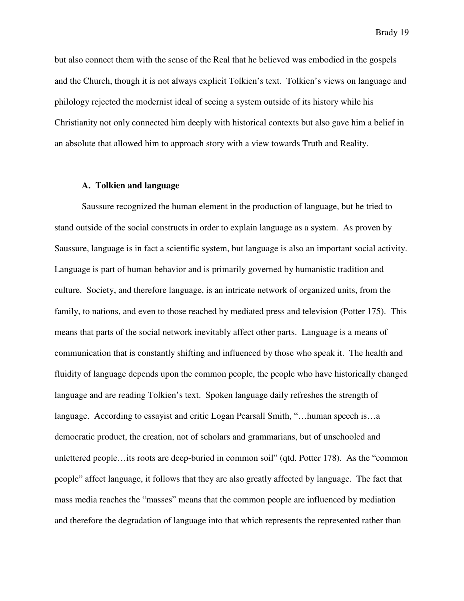but also connect them with the sense of the Real that he believed was embodied in the gospels and the Church, though it is not always explicit Tolkien's text. Tolkien's views on language and philology rejected the modernist ideal of seeing a system outside of its history while his Christianity not only connected him deeply with historical contexts but also gave him a belief in an absolute that allowed him to approach story with a view towards Truth and Reality.

#### **A. Tolkien and language**

Saussure recognized the human element in the production of language, but he tried to stand outside of the social constructs in order to explain language as a system. As proven by Saussure, language is in fact a scientific system, but language is also an important social activity. Language is part of human behavior and is primarily governed by humanistic tradition and culture. Society, and therefore language, is an intricate network of organized units, from the family, to nations, and even to those reached by mediated press and television (Potter 175). This means that parts of the social network inevitably affect other parts. Language is a means of communication that is constantly shifting and influenced by those who speak it. The health and fluidity of language depends upon the common people, the people who have historically changed language and are reading Tolkien's text. Spoken language daily refreshes the strength of language. According to essayist and critic Logan Pearsall Smith, "…human speech is…a democratic product, the creation, not of scholars and grammarians, but of unschooled and unlettered people…its roots are deep-buried in common soil" (qtd. Potter 178). As the "common people" affect language, it follows that they are also greatly affected by language. The fact that mass media reaches the "masses" means that the common people are influenced by mediation and therefore the degradation of language into that which represents the represented rather than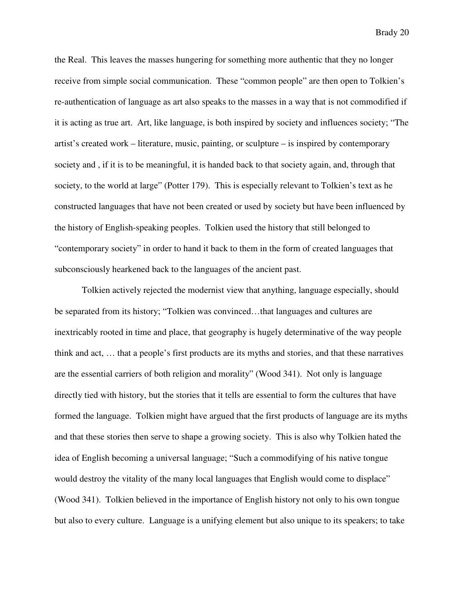the Real. This leaves the masses hungering for something more authentic that they no longer receive from simple social communication. These "common people" are then open to Tolkien's re-authentication of language as art also speaks to the masses in a way that is not commodified if it is acting as true art. Art, like language, is both inspired by society and influences society; "The artist's created work – literature, music, painting, or sculpture – is inspired by contemporary society and , if it is to be meaningful, it is handed back to that society again, and, through that society, to the world at large" (Potter 179). This is especially relevant to Tolkien's text as he constructed languages that have not been created or used by society but have been influenced by the history of English-speaking peoples. Tolkien used the history that still belonged to "contemporary society" in order to hand it back to them in the form of created languages that subconsciously hearkened back to the languages of the ancient past.

 Tolkien actively rejected the modernist view that anything, language especially, should be separated from its history; "Tolkien was convinced…that languages and cultures are inextricably rooted in time and place, that geography is hugely determinative of the way people think and act, … that a people's first products are its myths and stories, and that these narratives are the essential carriers of both religion and morality" (Wood 341). Not only is language directly tied with history, but the stories that it tells are essential to form the cultures that have formed the language. Tolkien might have argued that the first products of language are its myths and that these stories then serve to shape a growing society. This is also why Tolkien hated the idea of English becoming a universal language; "Such a commodifying of his native tongue would destroy the vitality of the many local languages that English would come to displace" (Wood 341). Tolkien believed in the importance of English history not only to his own tongue but also to every culture. Language is a unifying element but also unique to its speakers; to take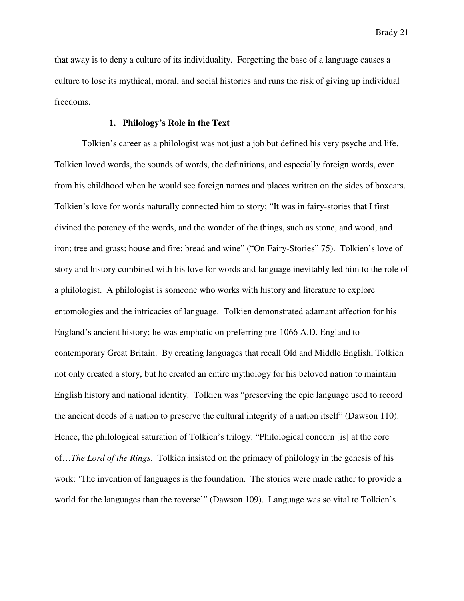that away is to deny a culture of its individuality. Forgetting the base of a language causes a culture to lose its mythical, moral, and social histories and runs the risk of giving up individual freedoms.

#### **1. Philology's Role in the Text**

Tolkien's career as a philologist was not just a job but defined his very psyche and life. Tolkien loved words, the sounds of words, the definitions, and especially foreign words, even from his childhood when he would see foreign names and places written on the sides of boxcars. Tolkien's love for words naturally connected him to story; "It was in fairy-stories that I first divined the potency of the words, and the wonder of the things, such as stone, and wood, and iron; tree and grass; house and fire; bread and wine" ("On Fairy-Stories" 75). Tolkien's love of story and history combined with his love for words and language inevitably led him to the role of a philologist. A philologist is someone who works with history and literature to explore entomologies and the intricacies of language. Tolkien demonstrated adamant affection for his England's ancient history; he was emphatic on preferring pre-1066 A.D. England to contemporary Great Britain. By creating languages that recall Old and Middle English, Tolkien not only created a story, but he created an entire mythology for his beloved nation to maintain English history and national identity. Tolkien was "preserving the epic language used to record the ancient deeds of a nation to preserve the cultural integrity of a nation itself" (Dawson 110). Hence, the philological saturation of Tolkien's trilogy: "Philological concern [is] at the core of…*The Lord of the Rings*. Tolkien insisted on the primacy of philology in the genesis of his work: 'The invention of languages is the foundation. The stories were made rather to provide a world for the languages than the reverse'" (Dawson 109). Language was so vital to Tolkien's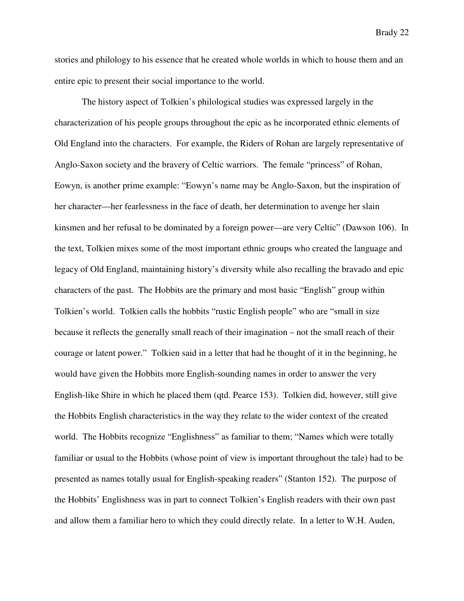stories and philology to his essence that he created whole worlds in which to house them and an entire epic to present their social importance to the world.

The history aspect of Tolkien's philological studies was expressed largely in the characterization of his people groups throughout the epic as he incorporated ethnic elements of Old England into the characters. For example, the Riders of Rohan are largely representative of Anglo-Saxon society and the bravery of Celtic warriors. The female "princess" of Rohan, Eowyn, is another prime example: "Eowyn's name may be Anglo-Saxon, but the inspiration of her character—her fearlessness in the face of death, her determination to avenge her slain kinsmen and her refusal to be dominated by a foreign power—are very Celtic" (Dawson 106). In the text, Tolkien mixes some of the most important ethnic groups who created the language and legacy of Old England, maintaining history's diversity while also recalling the bravado and epic characters of the past. The Hobbits are the primary and most basic "English" group within Tolkien's world. Tolkien calls the hobbits "rustic English people" who are "small in size because it reflects the generally small reach of their imagination – not the small reach of their courage or latent power." Tolkien said in a letter that had he thought of it in the beginning, he would have given the Hobbits more English-sounding names in order to answer the very English-like Shire in which he placed them (qtd. Pearce 153). Tolkien did, however, still give the Hobbits English characteristics in the way they relate to the wider context of the created world. The Hobbits recognize "Englishness" as familiar to them; "Names which were totally familiar or usual to the Hobbits (whose point of view is important throughout the tale) had to be presented as names totally usual for English-speaking readers" (Stanton 152). The purpose of the Hobbits' Englishness was in part to connect Tolkien's English readers with their own past and allow them a familiar hero to which they could directly relate. In a letter to W.H. Auden,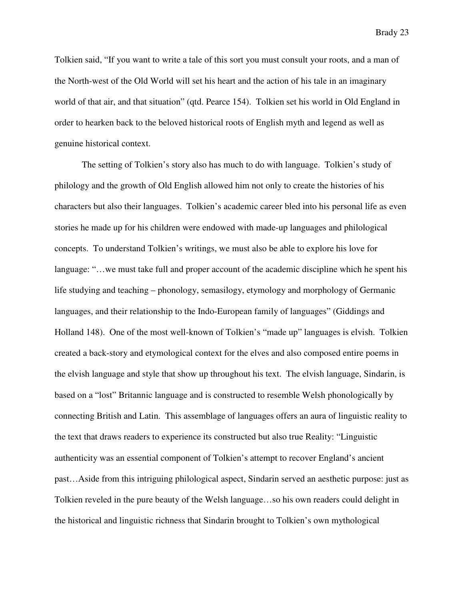Tolkien said, "If you want to write a tale of this sort you must consult your roots, and a man of the North-west of the Old World will set his heart and the action of his tale in an imaginary world of that air, and that situation" (qtd. Pearce 154). Tolkien set his world in Old England in order to hearken back to the beloved historical roots of English myth and legend as well as genuine historical context.

The setting of Tolkien's story also has much to do with language. Tolkien's study of philology and the growth of Old English allowed him not only to create the histories of his characters but also their languages. Tolkien's academic career bled into his personal life as even stories he made up for his children were endowed with made-up languages and philological concepts. To understand Tolkien's writings, we must also be able to explore his love for language: "…we must take full and proper account of the academic discipline which he spent his life studying and teaching – phonology, semasilogy, etymology and morphology of Germanic languages, and their relationship to the Indo-European family of languages" (Giddings and Holland 148). One of the most well-known of Tolkien's "made up" languages is elvish. Tolkien created a back-story and etymological context for the elves and also composed entire poems in the elvish language and style that show up throughout his text. The elvish language, Sindarin, is based on a "lost" Britannic language and is constructed to resemble Welsh phonologically by connecting British and Latin. This assemblage of languages offers an aura of linguistic reality to the text that draws readers to experience its constructed but also true Reality: "Linguistic authenticity was an essential component of Tolkien's attempt to recover England's ancient past…Aside from this intriguing philological aspect, Sindarin served an aesthetic purpose: just as Tolkien reveled in the pure beauty of the Welsh language…so his own readers could delight in the historical and linguistic richness that Sindarin brought to Tolkien's own mythological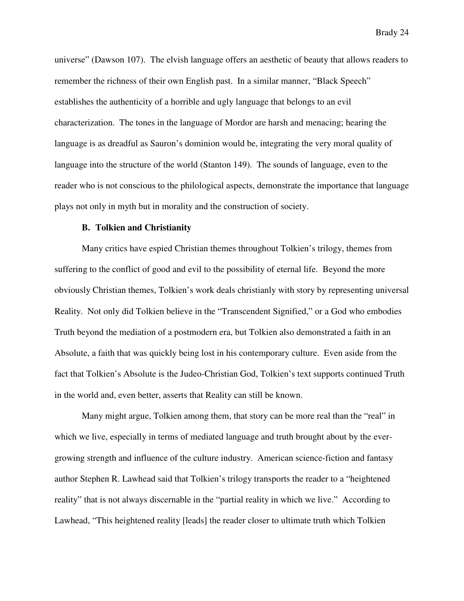universe" (Dawson 107). The elvish language offers an aesthetic of beauty that allows readers to remember the richness of their own English past. In a similar manner, "Black Speech" establishes the authenticity of a horrible and ugly language that belongs to an evil characterization. The tones in the language of Mordor are harsh and menacing; hearing the language is as dreadful as Sauron's dominion would be, integrating the very moral quality of language into the structure of the world (Stanton 149). The sounds of language, even to the reader who is not conscious to the philological aspects, demonstrate the importance that language plays not only in myth but in morality and the construction of society.

#### **B. Tolkien and Christianity**

Many critics have espied Christian themes throughout Tolkien's trilogy, themes from suffering to the conflict of good and evil to the possibility of eternal life. Beyond the more obviously Christian themes, Tolkien's work deals christianly with story by representing universal Reality. Not only did Tolkien believe in the "Transcendent Signified," or a God who embodies Truth beyond the mediation of a postmodern era, but Tolkien also demonstrated a faith in an Absolute, a faith that was quickly being lost in his contemporary culture. Even aside from the fact that Tolkien's Absolute is the Judeo-Christian God, Tolkien's text supports continued Truth in the world and, even better, asserts that Reality can still be known.

Many might argue, Tolkien among them, that story can be more real than the "real" in which we live, especially in terms of mediated language and truth brought about by the evergrowing strength and influence of the culture industry. American science-fiction and fantasy author Stephen R. Lawhead said that Tolkien's trilogy transports the reader to a "heightened reality" that is not always discernable in the "partial reality in which we live." According to Lawhead, "This heightened reality [leads] the reader closer to ultimate truth which Tolkien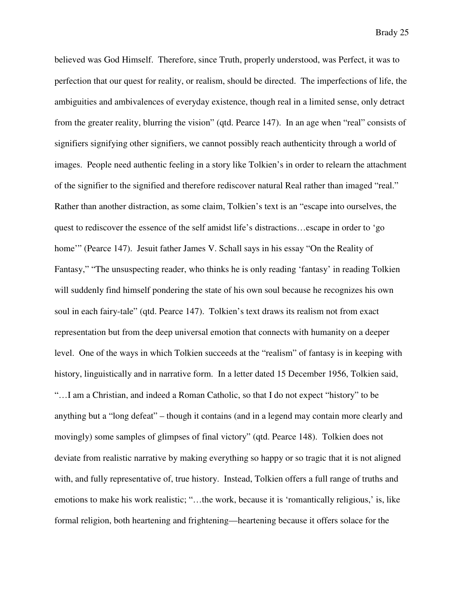believed was God Himself. Therefore, since Truth, properly understood, was Perfect, it was to perfection that our quest for reality, or realism, should be directed. The imperfections of life, the ambiguities and ambivalences of everyday existence, though real in a limited sense, only detract from the greater reality, blurring the vision" (qtd. Pearce 147). In an age when "real" consists of signifiers signifying other signifiers, we cannot possibly reach authenticity through a world of images. People need authentic feeling in a story like Tolkien's in order to relearn the attachment of the signifier to the signified and therefore rediscover natural Real rather than imaged "real." Rather than another distraction, as some claim, Tolkien's text is an "escape into ourselves, the quest to rediscover the essence of the self amidst life's distractions…escape in order to 'go home" (Pearce 147). Jesuit father James V. Schall says in his essay "On the Reality of Fantasy," "The unsuspecting reader, who thinks he is only reading 'fantasy' in reading Tolkien will suddenly find himself pondering the state of his own soul because he recognizes his own soul in each fairy-tale" (qtd. Pearce 147). Tolkien's text draws its realism not from exact representation but from the deep universal emotion that connects with humanity on a deeper level. One of the ways in which Tolkien succeeds at the "realism" of fantasy is in keeping with history, linguistically and in narrative form. In a letter dated 15 December 1956, Tolkien said, "…I am a Christian, and indeed a Roman Catholic, so that I do not expect "history" to be anything but a "long defeat" – though it contains (and in a legend may contain more clearly and movingly) some samples of glimpses of final victory" (qtd. Pearce 148). Tolkien does not deviate from realistic narrative by making everything so happy or so tragic that it is not aligned with, and fully representative of, true history. Instead, Tolkien offers a full range of truths and emotions to make his work realistic; "…the work, because it is 'romantically religious,' is, like formal religion, both heartening and frightening—heartening because it offers solace for the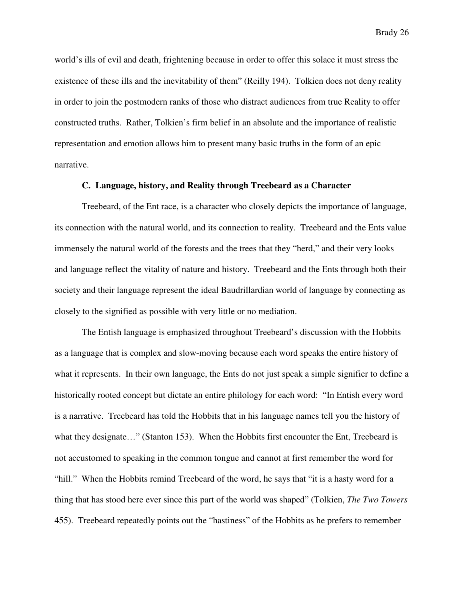world's ills of evil and death, frightening because in order to offer this solace it must stress the existence of these ills and the inevitability of them" (Reilly 194). Tolkien does not deny reality in order to join the postmodern ranks of those who distract audiences from true Reality to offer constructed truths. Rather, Tolkien's firm belief in an absolute and the importance of realistic representation and emotion allows him to present many basic truths in the form of an epic narrative.

#### **C. Language, history, and Reality through Treebeard as a Character**

Treebeard, of the Ent race, is a character who closely depicts the importance of language, its connection with the natural world, and its connection to reality. Treebeard and the Ents value immensely the natural world of the forests and the trees that they "herd," and their very looks and language reflect the vitality of nature and history. Treebeard and the Ents through both their society and their language represent the ideal Baudrillardian world of language by connecting as closely to the signified as possible with very little or no mediation.

 The Entish language is emphasized throughout Treebeard's discussion with the Hobbits as a language that is complex and slow-moving because each word speaks the entire history of what it represents. In their own language, the Ents do not just speak a simple signifier to define a historically rooted concept but dictate an entire philology for each word: "In Entish every word is a narrative. Treebeard has told the Hobbits that in his language names tell you the history of what they designate…" (Stanton 153). When the Hobbits first encounter the Ent, Treebeard is not accustomed to speaking in the common tongue and cannot at first remember the word for "hill." When the Hobbits remind Treebeard of the word, he says that "it is a hasty word for a thing that has stood here ever since this part of the world was shaped" (Tolkien, *The Two Towers*  455). Treebeard repeatedly points out the "hastiness" of the Hobbits as he prefers to remember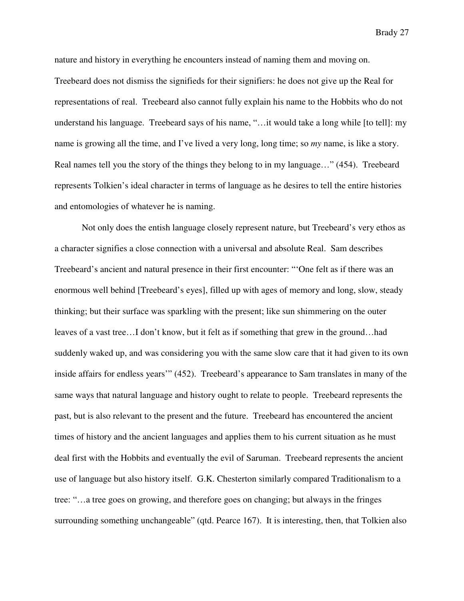nature and history in everything he encounters instead of naming them and moving on. Treebeard does not dismiss the signifieds for their signifiers: he does not give up the Real for representations of real. Treebeard also cannot fully explain his name to the Hobbits who do not understand his language. Treebeard says of his name, "…it would take a long while [to tell]: my name is growing all the time, and I've lived a very long, long time; so *my* name, is like a story. Real names tell you the story of the things they belong to in my language…" (454). Treebeard represents Tolkien's ideal character in terms of language as he desires to tell the entire histories and entomologies of whatever he is naming.

Not only does the entish language closely represent nature, but Treebeard's very ethos as a character signifies a close connection with a universal and absolute Real. Sam describes Treebeard's ancient and natural presence in their first encounter: "'One felt as if there was an enormous well behind [Treebeard's eyes], filled up with ages of memory and long, slow, steady thinking; but their surface was sparkling with the present; like sun shimmering on the outer leaves of a vast tree…I don't know, but it felt as if something that grew in the ground…had suddenly waked up, and was considering you with the same slow care that it had given to its own inside affairs for endless years'" (452). Treebeard's appearance to Sam translates in many of the same ways that natural language and history ought to relate to people. Treebeard represents the past, but is also relevant to the present and the future. Treebeard has encountered the ancient times of history and the ancient languages and applies them to his current situation as he must deal first with the Hobbits and eventually the evil of Saruman. Treebeard represents the ancient use of language but also history itself. G.K. Chesterton similarly compared Traditionalism to a tree: "…a tree goes on growing, and therefore goes on changing; but always in the fringes surrounding something unchangeable" (qtd. Pearce 167). It is interesting, then, that Tolkien also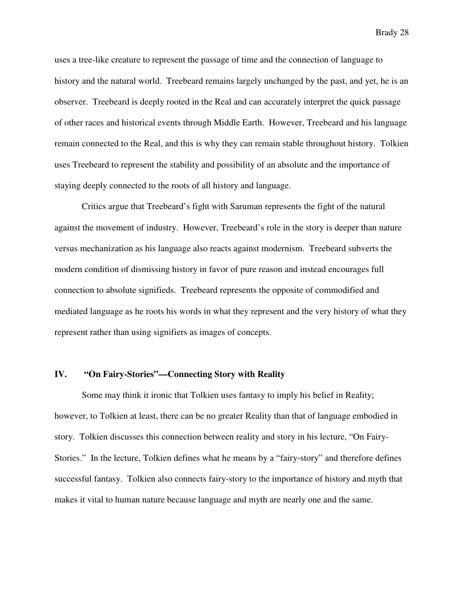uses a tree-like creature to represent the passage of time and the connection of language to history and the natural world. Treebeard remains largely unchanged by the past, and yet, he is an observer. Treebeard is deeply rooted in the Real and can accurately interpret the quick passage of other races and historical events through Middle Earth. However, Treebeard and his language remain connected to the Real, and this is why they can remain stable throughout history. Tolkien uses Treebeard to represent the stability and possibility of an absolute and the importance of staying deeply connected to the roots of all history and language.

 Critics argue that Treebeard's fight with Saruman represents the fight of the natural against the movement of industry. However, Treebeard's role in the story is deeper than nature versus mechanization as his language also reacts against modernism. Treebeard subverts the modern condition of dismissing history in favor of pure reason and instead encourages full connection to absolute signifieds. Treebeard represents the opposite of commodified and mediated language as he roots his words in what they represent and the very history of what they represent rather than using signifiers as images of concepts.

#### **IV. "On Fairy-Stories"—Connecting Story with Reality**

Some may think it ironic that Tolkien uses fantasy to imply his belief in Reality; however, to Tolkien at least, there can be no greater Reality than that of language embodied in story. Tolkien discusses this connection between reality and story in his lecture, "On Fairy-Stories." In the lecture, Tolkien defines what he means by a "fairy-story" and therefore defines successful fantasy. Tolkien also connects fairy-story to the importance of history and myth that makes it vital to human nature because language and myth are nearly one and the same.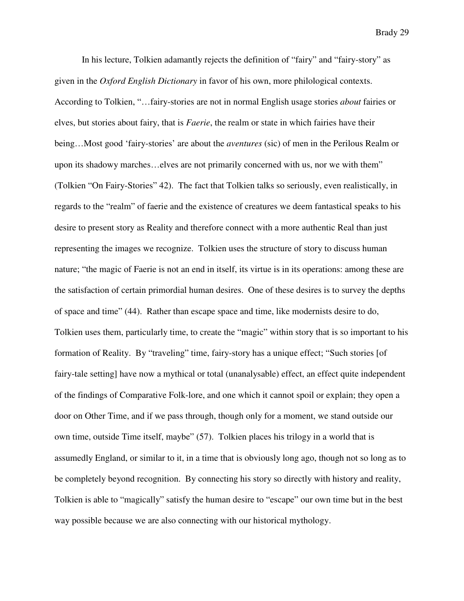In his lecture, Tolkien adamantly rejects the definition of "fairy" and "fairy-story" as given in the *Oxford English Dictionary* in favor of his own, more philological contexts. According to Tolkien, "…fairy-stories are not in normal English usage stories *about* fairies or elves, but stories about fairy, that is *Faerie*, the realm or state in which fairies have their being…Most good 'fairy-stories' are about the *aventures* (sic) of men in the Perilous Realm or upon its shadowy marches…elves are not primarily concerned with us, nor we with them" (Tolkien "On Fairy-Stories" 42). The fact that Tolkien talks so seriously, even realistically, in regards to the "realm" of faerie and the existence of creatures we deem fantastical speaks to his desire to present story as Reality and therefore connect with a more authentic Real than just representing the images we recognize. Tolkien uses the structure of story to discuss human nature; "the magic of Faerie is not an end in itself, its virtue is in its operations: among these are the satisfaction of certain primordial human desires. One of these desires is to survey the depths of space and time" (44). Rather than escape space and time, like modernists desire to do, Tolkien uses them, particularly time, to create the "magic" within story that is so important to his formation of Reality. By "traveling" time, fairy-story has a unique effect; "Such stories [of fairy-tale setting] have now a mythical or total (unanalysable) effect, an effect quite independent of the findings of Comparative Folk-lore, and one which it cannot spoil or explain; they open a door on Other Time, and if we pass through, though only for a moment, we stand outside our own time, outside Time itself, maybe" (57). Tolkien places his trilogy in a world that is assumedly England, or similar to it, in a time that is obviously long ago, though not so long as to be completely beyond recognition. By connecting his story so directly with history and reality, Tolkien is able to "magically" satisfy the human desire to "escape" our own time but in the best way possible because we are also connecting with our historical mythology.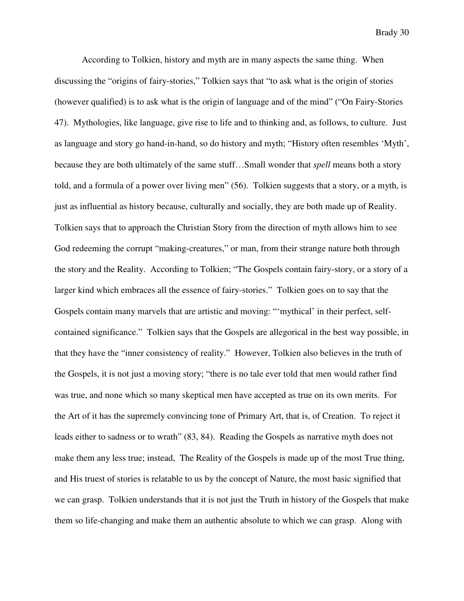According to Tolkien, history and myth are in many aspects the same thing. When discussing the "origins of fairy-stories," Tolkien says that "to ask what is the origin of stories (however qualified) is to ask what is the origin of language and of the mind" ("On Fairy-Stories 47). Mythologies, like language, give rise to life and to thinking and, as follows, to culture. Just as language and story go hand-in-hand, so do history and myth; "History often resembles 'Myth', because they are both ultimately of the same stuff…Small wonder that *spell* means both a story told, and a formula of a power over living men" (56). Tolkien suggests that a story, or a myth, is just as influential as history because, culturally and socially, they are both made up of Reality. Tolkien says that to approach the Christian Story from the direction of myth allows him to see God redeeming the corrupt "making-creatures," or man, from their strange nature both through the story and the Reality. According to Tolkien; "The Gospels contain fairy-story, or a story of a larger kind which embraces all the essence of fairy-stories." Tolkien goes on to say that the Gospels contain many marvels that are artistic and moving: "'mythical' in their perfect, selfcontained significance." Tolkien says that the Gospels are allegorical in the best way possible, in that they have the "inner consistency of reality." However, Tolkien also believes in the truth of the Gospels, it is not just a moving story; "there is no tale ever told that men would rather find was true, and none which so many skeptical men have accepted as true on its own merits. For the Art of it has the supremely convincing tone of Primary Art, that is, of Creation. To reject it leads either to sadness or to wrath" (83, 84). Reading the Gospels as narrative myth does not make them any less true; instead, The Reality of the Gospels is made up of the most True thing, and His truest of stories is relatable to us by the concept of Nature, the most basic signified that we can grasp. Tolkien understands that it is not just the Truth in history of the Gospels that make them so life-changing and make them an authentic absolute to which we can grasp. Along with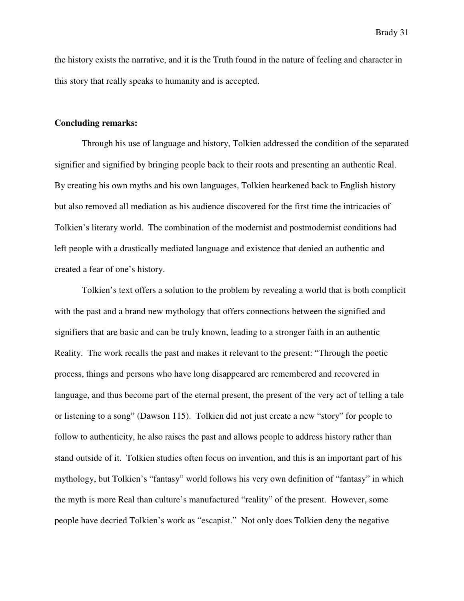the history exists the narrative, and it is the Truth found in the nature of feeling and character in this story that really speaks to humanity and is accepted.

#### **Concluding remarks:**

 Through his use of language and history, Tolkien addressed the condition of the separated signifier and signified by bringing people back to their roots and presenting an authentic Real. By creating his own myths and his own languages, Tolkien hearkened back to English history but also removed all mediation as his audience discovered for the first time the intricacies of Tolkien's literary world. The combination of the modernist and postmodernist conditions had left people with a drastically mediated language and existence that denied an authentic and created a fear of one's history.

 Tolkien's text offers a solution to the problem by revealing a world that is both complicit with the past and a brand new mythology that offers connections between the signified and signifiers that are basic and can be truly known, leading to a stronger faith in an authentic Reality. The work recalls the past and makes it relevant to the present: "Through the poetic process, things and persons who have long disappeared are remembered and recovered in language, and thus become part of the eternal present, the present of the very act of telling a tale or listening to a song" (Dawson 115). Tolkien did not just create a new "story" for people to follow to authenticity, he also raises the past and allows people to address history rather than stand outside of it. Tolkien studies often focus on invention, and this is an important part of his mythology, but Tolkien's "fantasy" world follows his very own definition of "fantasy" in which the myth is more Real than culture's manufactured "reality" of the present. However, some people have decried Tolkien's work as "escapist." Not only does Tolkien deny the negative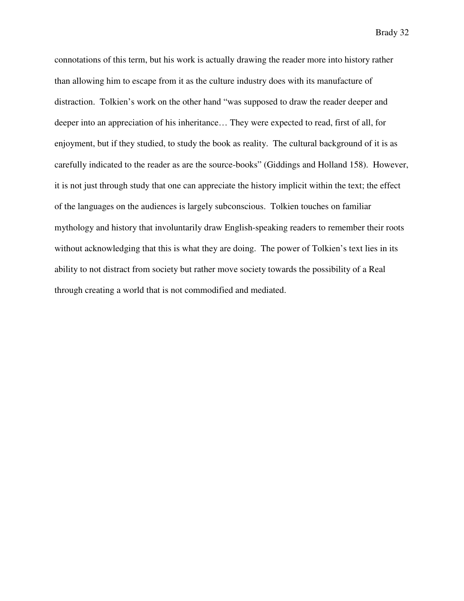connotations of this term, but his work is actually drawing the reader more into history rather than allowing him to escape from it as the culture industry does with its manufacture of distraction. Tolkien's work on the other hand "was supposed to draw the reader deeper and deeper into an appreciation of his inheritance… They were expected to read, first of all, for enjoyment, but if they studied, to study the book as reality. The cultural background of it is as carefully indicated to the reader as are the source-books" (Giddings and Holland 158). However, it is not just through study that one can appreciate the history implicit within the text; the effect of the languages on the audiences is largely subconscious. Tolkien touches on familiar mythology and history that involuntarily draw English-speaking readers to remember their roots without acknowledging that this is what they are doing. The power of Tolkien's text lies in its ability to not distract from society but rather move society towards the possibility of a Real through creating a world that is not commodified and mediated.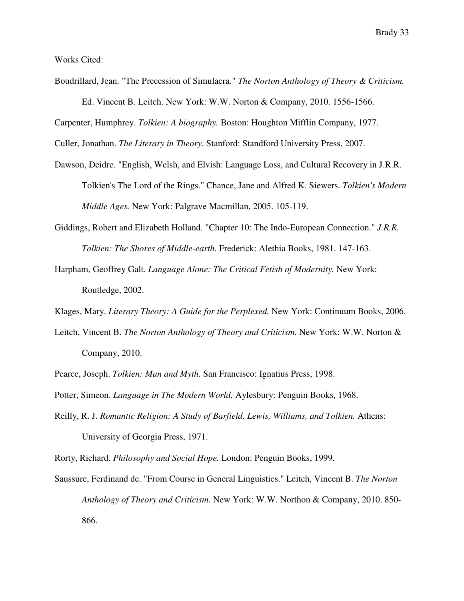Works Cited:

Boudrillard, Jean. "The Precession of Simulacra." *The Norton Anthology of Theory & Criticism.* Ed. Vincent B. Leitch. New York: W.W. Norton & Company, 2010. 1556-1566.

Carpenter, Humphrey. *Tolkien: A biography.* Boston: Houghton Mifflin Company, 1977.

Culler, Jonathan. *The Literary in Theory.* Stanford: Standford University Press, 2007.

- Dawson, Deidre. "English, Welsh, and Elvish: Language Loss, and Cultural Recovery in J.R.R. Tolkien's The Lord of the Rings." Chance, Jane and Alfred K. Siewers. *Tolkien's Modern Middle Ages.* New York: Palgrave Macmillan, 2005. 105-119.
- Giddings, Robert and Elizabeth Holland. "Chapter 10: The Indo-European Connection." *J.R.R. Tolkien: The Shores of Middle-earth.* Frederick: Alethia Books, 1981. 147-163.
- Harpham, Geoffrey Galt. *Language Alone: The Critical Fetish of Modernity.* New York: Routledge, 2002.
- Klages, Mary. *Literary Theory: A Guide for the Perplexed.* New York: Continuum Books, 2006.
- Leitch, Vincent B. *The Norton Anthology of Theory and Criticism.* New York: W.W. Norton & Company, 2010.
- Pearce, Joseph. *Tolkien: Man and Myth.* San Francisco: Ignatius Press, 1998.
- Potter, Simeon. *Language in The Modern World.* Aylesbury: Penguin Books, 1968.
- Reilly, R. J. *Romantic Religion: A Study of Barfield, Lewis, Williams, and Tolkien.* Athens: University of Georgia Press, 1971.

Rorty, Richard. *Philosophy and Social Hope.* London: Penguin Books, 1999.

Saussure, Ferdinand de. "From Course in General Linguistics." Leitch, Vincent B. *The Norton Anthology of Theory and Criticism.* New York: W.W. Northon & Company, 2010. 850- 866.